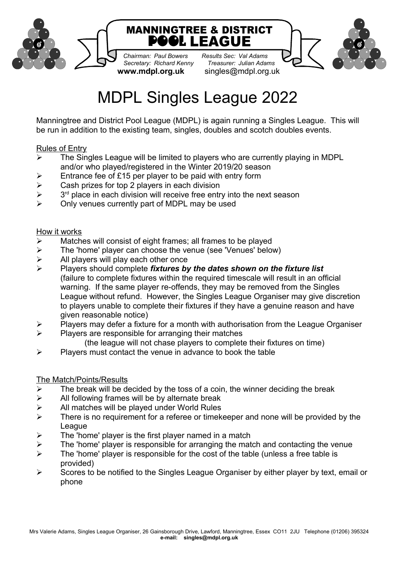

*Chairman: Paul Bowers Results Sec: Val Adams Secretary: Richard Kenny* 

**www.mdpl.org.uk** singles@mdpl.org.uk



# MDPL Singles League 2022

Manningtree and District Pool League (MDPL) is again running a Singles League. This will be run in addition to the existing team, singles, doubles and scotch doubles events.

## Rules of Entry

- $\triangleright$  The Singles League will be limited to players who are currently playing in MDPL and/or who played/registered in the Winter 2019/20 season
- $\triangleright$  Entrance fee of £15 per player to be paid with entry form
- $\triangleright$  Cash prizes for top 2 players in each division
- $\blacktriangleright$  $3<sup>rd</sup>$  place in each division will receive free entry into the next season
- $\triangleright$  Only venues currently part of MDPL may be used

## How it works

- $\triangleright$  Matches will consist of eight frames; all frames to be played
- $\triangleright$  The 'home' player can choose the venue (see 'Venues' below)
- $\triangleright$  All players will play each other once<br>  $\triangleright$  Players should complete *fixtures by*
- Players should complete *fixtures by the dates shown on the fixture list* (failure to complete fixtures within the required timescale will result in an official warning. If the same player re-offends, they may be removed from the Singles League without refund. However, the Singles League Organiser may give discretion to players unable to complete their fixtures if they have a genuine reason and have given reasonable notice)
- $\triangleright$  Players may defer a fixture for a month with authorisation from the League Organiser
- $\triangleright$  Players are responsible for arranging their matches
	- (the league will not chase players to complete their fixtures on time)
- $\triangleright$  Players must contact the venue in advance to book the table

## The Match/Points/Results

- $\triangleright$  The break will be decided by the toss of a coin, the winner deciding the break
- $\triangleright$  All following frames will be by alternate break
- $\triangleright$  All matches will be played under World Rules
- $\triangleright$  There is no requirement for a referee or timekeeper and none will be provided by the League
- $\triangleright$  The 'home' player is the first player named in a match
- $\triangleright$  The 'home' player is responsible for arranging the match and contacting the venue
- $\triangleright$  The 'home' player is responsible for the cost of the table (unless a free table is provided)
- $\triangleright$  Scores to be notified to the Singles League Organiser by either player by text, email or phone